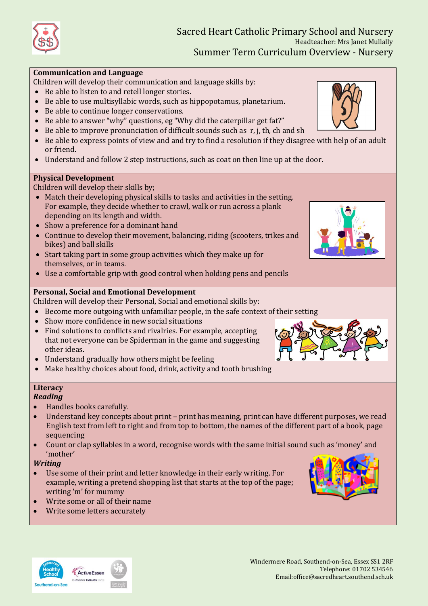

## **Communication and Language**

Children will develop their communication and language skills by:

- Be able to listen to and retell longer stories.
- Be able to use multisyllabic words, such as hippopotamus, planetarium.
- Be able to continue longer conservations.
- Be able to answer "why" questions, eg "Why did the caterpillar get fat?"
- $\bullet$  Be able to improve pronunciation of difficult sounds such as r, j, th, ch and sh
- Be able to express points of view and and try to find a resolution if they disagree with help of an adult or friend.
- Understand and follow 2 step instructions, such as coat on then line up at the door.

## **Physical Development**

Children will develop their skills by;

- Match their developing physical skills to tasks and activities in the setting. For example, they decide whether to crawl, walk or run across a plank depending on its length and width.
- Show a preference for a dominant hand
- Continue to develop their movement, balancing, riding (scooters, trikes and bikes) and ball skills
- Start taking part in some group activities which they make up for themselves, or in teams.
- Use a comfortable grip with good control when holding pens and pencils

# **Personal, Social and Emotional Development**

Children will develop their Personal, Social and emotional skills by:

- Become more outgoing with unfamiliar people, in the safe context of their setting
- Show more confidence in new social situations
- Find solutions to conflicts and rivalries. For example, accepting that not everyone can be Spiderman in the game and suggesting other ideas.
- Understand gradually how others might be feeling
- Make healthy choices about food, drink, activity and tooth brushing

### **Literacy** *Reading*

- Handles books carefully.
- Understand key concepts about print print has meaning, print can have different purposes, we read English text from left to right and from top to bottom, the names of the different part of a book, page sequencing
- Count or clap syllables in a word, recognise words with the same initial sound such as 'money' and 'mother'

## *Writing*

- Use some of their print and letter knowledge in their early writing. For example, writing a pretend shopping list that starts at the top of the page; writing 'm' for mummy
- Write some or all of their name
- Write some letters accurately



#### Windermere Road, Southend-on-Sea, Essex SS1 2RF Telephone: 01702 534546 Email:office@sacredheart.southend.sch.uk